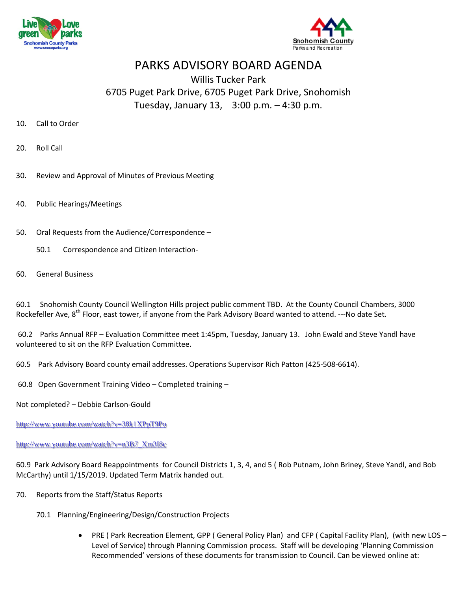



## PARKS ADVISORY BOARD AGENDA

## Willis Tucker Park 6705 Puget Park Drive, 6705 Puget Park Drive, Snohomish Tuesday, January 13, 3:00 p.m. – 4:30 p.m.

- 10. Call to Order
- 20. Roll Call
- 30. Review and Approval of Minutes of Previous Meeting
- 40. Public Hearings/Meetings
- 50. Oral Requests from the Audience/Correspondence
	- 50.1 Correspondence and Citizen Interaction-
- 60. General Business

60.1 Snohomish County Council Wellington Hills project public comment TBD. At the County Council Chambers, 3000 Rockefeller Ave,  $8^{th}$  Floor, east tower, if anyone from the Park Advisory Board wanted to attend. ---No date Set.

60.2 Parks Annual RFP – Evaluation Committee meet 1:45pm, Tuesday, January 13. John Ewald and Steve Yandl have volunteered to sit on the RFP Evaluation Committee.

60.5 Park Advisory Board county email addresses. Operations Supervisor Rich Patton (425-508-6614).

60.8 Open Government Training Video – Completed training –

Not completed? – Debbie Carlson-Gould

<http://www.youtube.com/watch?v=38k1XPpT9Po>

## [http://www.youtube.com/watch?v=n3B7\\_Xm3I8c](http://www.youtube.com/watch?v=n3B7_Xm3I8c)

60.9 Park Advisory Board Reappointments for Council Districts 1, 3, 4, and 5 ( Rob Putnam, John Briney, Steve Yandl, and Bob McCarthy) until 1/15/2019. Updated Term Matrix handed out.

- 70. Reports from the Staff/Status Reports
	- 70.1 Planning/Engineering/Design/Construction Projects
		- PRE ( Park Recreation Element, GPP ( General Policy Plan) and CFP ( Capital Facility Plan), (with new LOS Level of Service) through Planning Commission process. Staff will be developing 'Planning Commission Recommended' versions of these documents for transmission to Council. Can be viewed online at: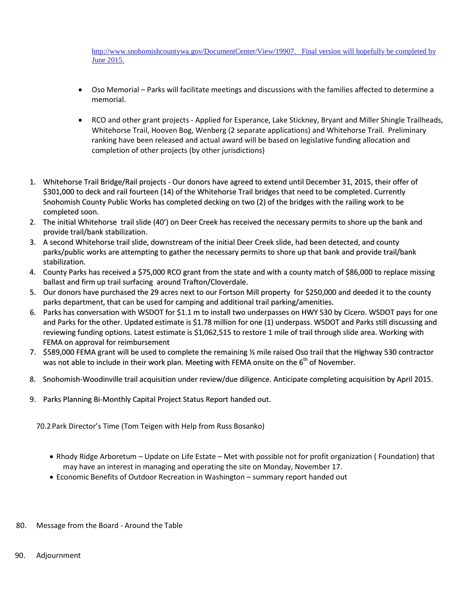[http://www.snohomishcountywa.gov/DocumentCenter/View/19907.](http://www.snohomishcountywa.gov/DocumentCenter/View/19907) Final version will hopefully be completed by June 2015.

- Oso Memorial Parks will facilitate meetings and discussions with the families affected to determine a memorial.
- RCO and other grant projects Applied for Esperance, Lake Stickney, Bryant and Miller Shingle Trailheads, Whitehorse Trail, Hooven Bog, Wenberg (2 separate applications) and Whitehorse Trail. Preliminary ranking have been released and actual award will be based on legislative funding allocation and completion of other projects (by other jurisdictions)
- 1. Whitehorse Trail Bridge/Rail projects Our donors have agreed to extend until December 31, 2015, their offer of \$301,000 to deck and rail fourteen (14) of the Whitehorse Trail bridges that need to be completed. Currently Snohomish County Public Works has completed decking on two (2) of the bridges with the railing work to be completed soon.
- 2. The initial Whitehorse trail slide (40') on Deer Creek has received the necessary permits to shore up the bank and provide trail/bank stabilization.
- 3. A second Whitehorse trail slide, downstream of the initial Deer Creek slide, had been detected, and county parks/public works are attempting to gather the necessary permits to shore up that bank and provide trail/bank stabilization.
- 4. County Parks has received a \$75,000 RCO grant from the state and with a county match of \$86,000 to replace missing ballast and firmup trail surfacing around Trafton/Cloverdale.
- 5. Our donors have purchased the 29 acres next to our Fortson Mill property for \$250,000 and deeded it to the county parks department, that can be used for camping and additional trail parking/amenities.
- 6. Parks has conversation with WSDOT for \$1.1 m to install two underpasses on HWY 530 by Cicero. WSDOT pays for one and Parks for the other. Updated estimate is \$1.78 million for one (1) underpass. WSDOT and Parks still discussing and reviewing funding options. Latest estimate is \$1,062,515 to restore 1 mile of trail through slide area. Working with FEMA on approval for reimbursement
- 7. \$589,000 FEMA grant will be used to complete the remaining ½ mile raised Oso trail that the Highway 530 contractor was not able to include in their work plan. Meeting with FEMA onsite on the  $6<sup>th</sup>$  of November.
- 8. Snohomish-Woodinville trail acquisition under review/due diligence. Anticipate completing acquisition by April 2015.
- 9. Parks Planning Bi-Monthly Capital Project Status Report handed out.

70.2Park Director's Time (Tom Teigen with Help from Russ Bosanko)

- Rhody Ridge Arboretum Update on Life Estate Met with possible not for profit organization ( Foundation) that may have an interest in managing and operating the site on Monday, November 17.
- Economic Benefits of Outdoor Recreation in Washington summary report handed out
- 80. Message from the Board Around the Table